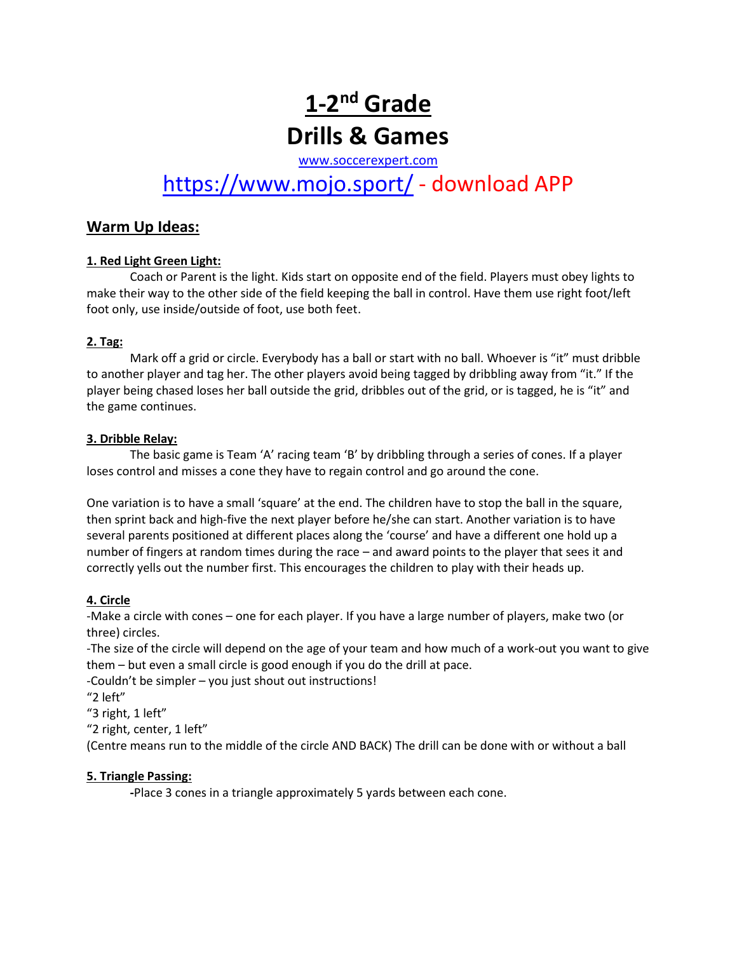# 1-2<sup>nd</sup> Grade **Drills & Games**

[www.soccerexpert.com](http://www.soccerexpert.com/)

# <https://www.mojo.sport/> - download APP

# **Warm Up Ideas:**

# **1. Red Light Green Light:**

Coach or Parent is the light. Kids start on opposite end of the field. Players must obey lights to make their way to the other side of the field keeping the ball in control. Have them use right foot/left foot only, use inside/outside of foot, use both feet.

## **2. Tag:**

Mark off a grid or circle. Everybody has a ball or start with no ball. Whoever is "it" must dribble to another player and tag her. The other players avoid being tagged by dribbling away from "it." If the player being chased loses her ball outside the grid, dribbles out of the grid, or is tagged, he is "it" and the game continues.

#### **3. Dribble Relay:**

The basic game is Team 'A' racing team 'B' by dribbling through a series of cones. If a player loses control and misses a cone they have to regain control and go around the cone.

One variation is to have a small 'square' at the end. The children have to stop the ball in the square, then sprint back and high-five the next player before he/she can start. Another variation is to have several parents positioned at different places along the 'course' and have a different one hold up a number of fingers at random times during the race – and award points to the player that sees it and correctly yells out the number first. This encourages the children to play with their heads up.

# **4. Circle**

-Make a circle with cones – one for each player. If you have a large number of players, make two (or three) circles.

-The size of the circle will depend on the age of your team and how much of a work-out you want to give them – but even a small circle is good enough if you do the drill at pace.

-Couldn't be simpler – you just shout out instructions!

"2 left"

"3 right, 1 left"

"2 right, center, 1 left"

(Centre means run to the middle of the circle AND BACK) The drill can be done with or without a ball

# **5. Triangle Passing:**

**-**Place 3 cones in a triangle approximately 5 yards between each cone.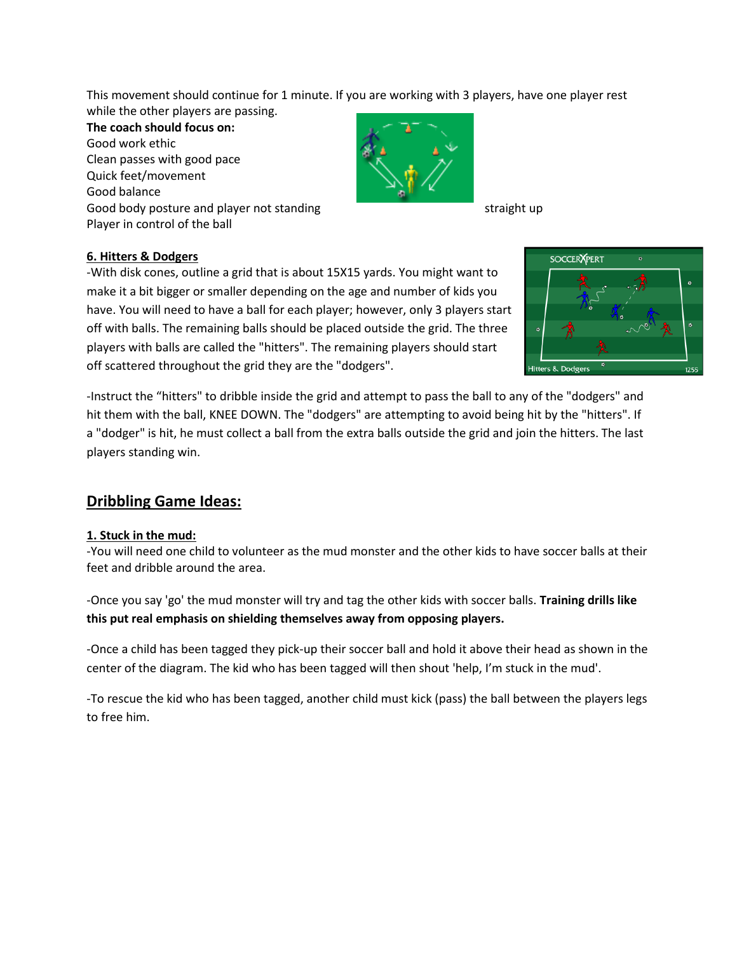This movement should continue for 1 minute. If you are working with 3 players, have one player rest while the other players are passing.

**The coach should focus on:** Good work ethic Clean passes with good pace Quick feet/movement Good balance Good body posture and player not standing straight up straight up Player in control of the ball



# **6. Hitters & Dodgers**

-With disk cones, outline a grid that is about 15X15 yards. You might want to make it a bit bigger or smaller depending on the age and number of kids you have. You will need to have a ball for each player; however, only 3 players start off with balls. The remaining balls should be placed outside the grid. The three players with balls are called the "hitters". The remaining players should start off scattered throughout the grid they are the "dodgers".



-Instruct the "hitters" to dribble inside the grid and attempt to pass the ball to any of the "dodgers" and hit them with the ball, KNEE DOWN. The "dodgers" are attempting to avoid being hit by the "hitters". If a "dodger" is hit, he must collect a ball from the extra balls outside the grid and join the hitters. The last players standing win.

# **Dribbling Game Ideas:**

#### **1. Stuck in the mud:**

-You will need one child to volunteer as the mud monster and the other kids to have soccer balls at their feet and dribble around the area.

-Once you say 'go' the mud monster will try and tag the other kids with soccer balls. **Training drills like this put real emphasis on shielding themselves away from opposing players.**

-Once a child has been tagged they pick-up their soccer ball and hold it above their head as shown in the center of the diagram. The kid who has been tagged will then shout 'help, I'm stuck in the mud'.

-To rescue the kid who has been tagged, another child must kick (pass) the ball between the players legs to free him.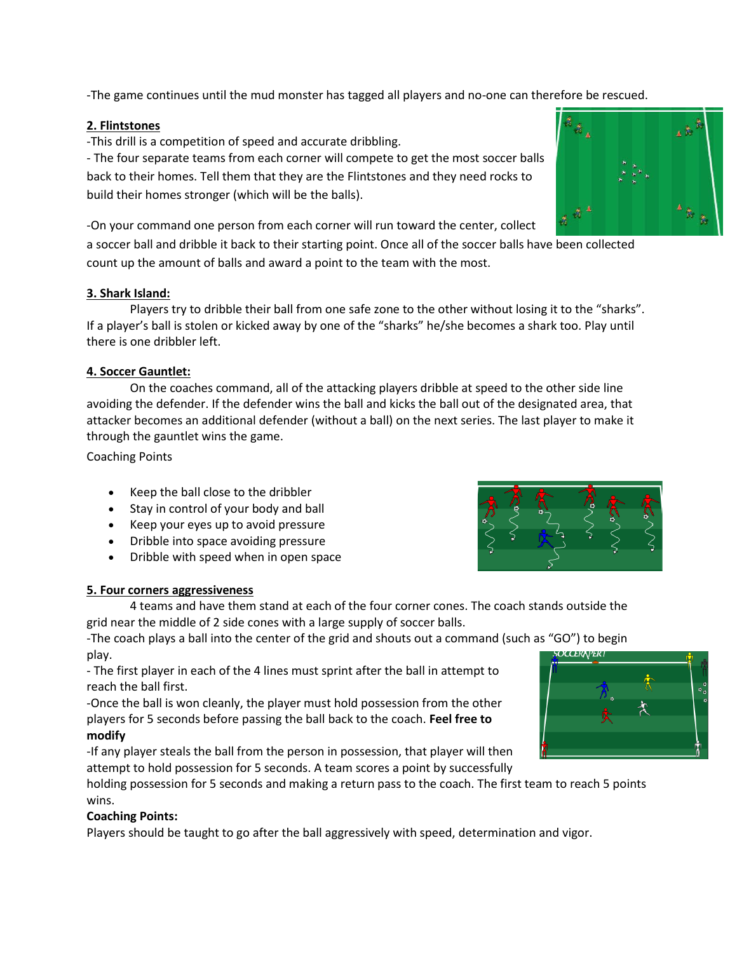-The game continues until the mud monster has tagged all players and no-one can therefore be rescued.

# **2. Flintstones**

-This drill is a competition of speed and accurate dribbling.

- The four separate teams from each corner will compete to get the most soccer balls back to their homes. Tell them that they are the Flintstones and they need rocks to build their homes stronger (which will be the balls).

-On your command one person from each corner will run toward the center, collect

a soccer ball and dribble it back to their starting point. Once all of the soccer balls have been collected count up the amount of balls and award a point to the team with the most.

# **3. Shark Island:**

Players try to dribble their ball from one safe zone to the other without losing it to the "sharks". If a player's ball is stolen or kicked away by one of the "sharks" he/she becomes a shark too. Play until there is one dribbler left.

# **4. Soccer Gauntlet:**

On the coaches command, all of the attacking players dribble at speed to the other side line avoiding the defender. If the defender wins the ball and kicks the ball out of the designated area, that attacker becomes an additional defender (without a ball) on the next series. The last player to make it through the gauntlet wins the game.

Coaching Points

- Keep the ball close to the dribbler
- Stay in control of your body and ball
- Keep your eyes up to avoid pressure
- Dribble into space avoiding pressure
- Dribble with speed when in open space



# **5. Four corners aggressiveness**

4 teams and have them stand at each of the four corner cones. The coach stands outside the grid near the middle of 2 side cones with a large supply of soccer balls.

-The coach plays a ball into the center of the grid and shouts out a command (such as "GO") to begin play. **OCCERAPER I** 

- The first player in each of the 4 lines must sprint after the ball in attempt to reach the ball first.

-Once the ball is won cleanly, the player must hold possession from the other players for 5 seconds before passing the ball back to the coach. **Feel free to modify** 

-If any player steals the ball from the person in possession, that player will then attempt to hold possession for 5 seconds. A team scores a point by successfully

holding possession for 5 seconds and making a return pass to the coach. The first team to reach 5 points wins.

#### **Coaching Points:**

Players should be taught to go after the ball aggressively with speed, determination and vigor.



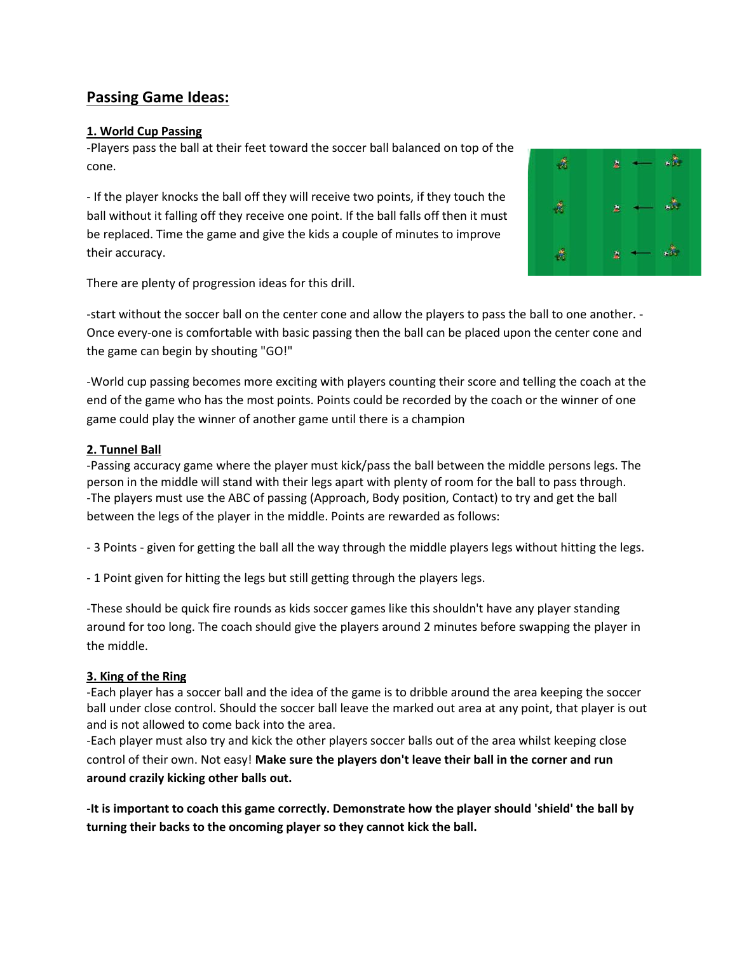# **Passing Game Ideas:**

## **1. World Cup Passing**

-Players pass the ball at their feet toward the soccer ball balanced on top of the cone.

- If the player knocks the ball off they will receive two points, if they touch the ball without it falling off they receive one point. If the ball falls off then it must be replaced. Time the game and give the kids a couple of minutes to improve their accuracy.



There are plenty of progression ideas for this drill.

-start without the soccer ball on the center cone and allow the players to pass the ball to one another. - Once every-one is comfortable with basic passing then the ball can be placed upon the center cone and the game can begin by shouting "GO!"

-World cup passing becomes more exciting with players counting their score and telling the coach at the end of the game who has the most points. Points could be recorded by the coach or the winner of one game could play the winner of another game until there is a champion

## **2. Tunnel Ball**

-Passing accuracy game where the player must kick/pass the ball between the middle persons legs. The person in the middle will stand with their legs apart with plenty of room for the ball to pass through. -The players must use the ABC of passing (Approach, Body position, Contact) to try and get the ball between the legs of the player in the middle. Points are rewarded as follows:

- 3 Points - given for getting the ball all the way through the middle players legs without hitting the legs.

- 1 Point given for hitting the legs but still getting through the players legs.

-These should be quick fire rounds as kids soccer games like this shouldn't have any player standing around for too long. The coach should give the players around 2 minutes before swapping the player in the middle.

#### **3. King of the Ring**

-Each player has a soccer ball and the idea of the game is to dribble around the area keeping the soccer ball under close control. Should the soccer ball leave the marked out area at any point, that player is out and is not allowed to come back into the area.

-Each player must also try and kick the other players soccer balls out of the area whilst keeping close control of their own. Not easy! **Make sure the players don't leave their ball in the corner and run around crazily kicking other balls out.**

**-It is important to coach this game correctly. Demonstrate how the player should 'shield' the ball by turning their backs to the oncoming player so they cannot kick the ball.**